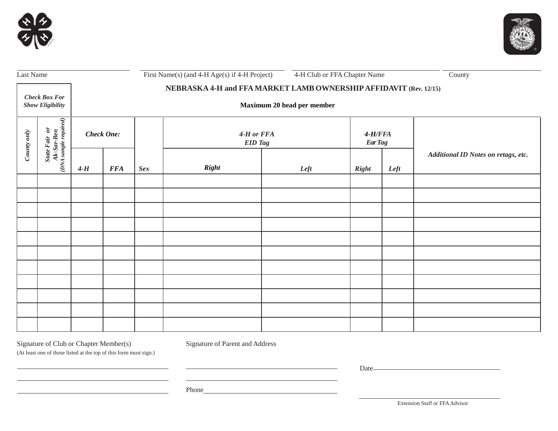



| Last Name                                       |                                                                                                                   | First Name(s) (and 4-H Age(s) if 4-H Project) |                                                                                                 |            |                              |      | 4-H Club or FFA Chapter Name |      | County                              |  |
|-------------------------------------------------|-------------------------------------------------------------------------------------------------------------------|-----------------------------------------------|-------------------------------------------------------------------------------------------------|------------|------------------------------|------|------------------------------|------|-------------------------------------|--|
| <b>Check Box For</b><br><b>Show Eligibility</b> |                                                                                                                   |                                               | NEBRASKA 4-H and FFA MARKET LAMB OWNERSHIP AFFIDAVIT (Rev. 12/15)<br>Maximum 20 head per member |            |                              |      |                              |      |                                     |  |
| County only                                     | $\begin{array}{c c} State \textit{ Fair} & or \\ \hline At-Sar-Ben \\ (DNA \textit{sample required}) \end{array}$ | <b>Check One:</b>                             |                                                                                                 |            | 4-H or FFA<br><b>EID</b> Tag |      | $4-H/FFA$<br><b>Ear Tag</b>  |      |                                     |  |
|                                                 |                                                                                                                   | $4-H$                                         | <b>FFA</b>                                                                                      | <b>Sex</b> | <b>Right</b>                 | Left | <b>Right</b>                 | Left | Additional ID Notes on retags, etc. |  |
|                                                 |                                                                                                                   |                                               |                                                                                                 |            |                              |      |                              |      |                                     |  |
|                                                 |                                                                                                                   |                                               |                                                                                                 |            |                              |      |                              |      |                                     |  |
|                                                 |                                                                                                                   |                                               |                                                                                                 |            |                              |      |                              |      |                                     |  |
|                                                 |                                                                                                                   |                                               |                                                                                                 |            |                              |      |                              |      |                                     |  |
|                                                 |                                                                                                                   |                                               |                                                                                                 |            |                              |      |                              |      |                                     |  |
|                                                 |                                                                                                                   |                                               |                                                                                                 |            |                              |      |                              |      |                                     |  |
|                                                 |                                                                                                                   |                                               |                                                                                                 |            |                              |      |                              |      |                                     |  |
|                                                 |                                                                                                                   |                                               |                                                                                                 |            |                              |      |                              |      |                                     |  |
|                                                 |                                                                                                                   |                                               |                                                                                                 |            |                              |      |                              |      |                                     |  |
|                                                 |                                                                                                                   |                                               |                                                                                                 |            |                              |      |                              |      |                                     |  |
|                                                 |                                                                                                                   |                                               |                                                                                                 |            |                              |      |                              |      |                                     |  |

the control of the control of the control of the control of the control of

<u> 1989 - Johann Stoff, deutscher Stoffen und der Stoffen und der Stoffen und der Stoffen und der Stoffen und der</u>

Signature of Club or Chapter Member(s) Signature of Parent and Address

(At least one of those listed at the top of this form must sign.)

<u> 1989 - Johann Barn, mars ann an t-Amhain an t-Amhain an t-Amhain an t-Amhain an t-Amhain an t-Amhain an t-Amh</u>

<u> 1989 - Johann Stoff, fransk politik (d. 1989)</u>

Date

 $\overline{\phantom{a}}$ Phone

Extension Staff or FFA Advisor